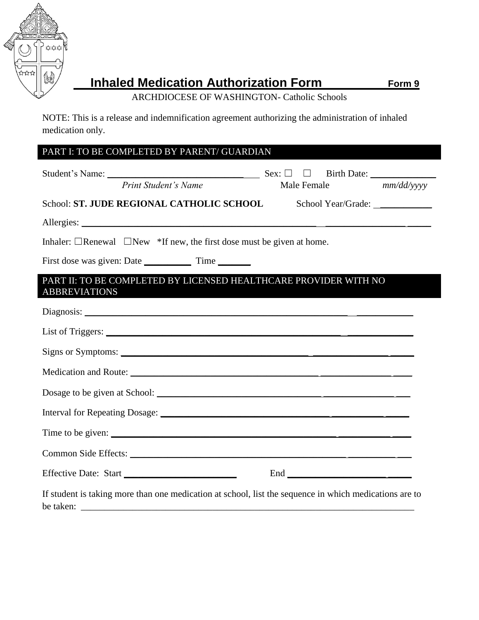

## **Inhaled Medication Authorization Form Form 9**

ARCHDIOCESE OF WASHINGTON- Catholic Schools

NOTE: This is a release and indemnification agreement authorizing the administration of inhaled medication only.

| PART I: TO BE COMPLETED BY PARENT/ GUARDIAN                                                                                                                                                                                                                                                                       |  |  |  |
|-------------------------------------------------------------------------------------------------------------------------------------------------------------------------------------------------------------------------------------------------------------------------------------------------------------------|--|--|--|
| Print Student's Name<br>Male Female mm/dd/yyyy                                                                                                                                                                                                                                                                    |  |  |  |
| School: ST. JUDE REGIONAL CATHOLIC SCHOOL                                                                                                                                                                                                                                                                         |  |  |  |
|                                                                                                                                                                                                                                                                                                                   |  |  |  |
| Inhaler: $\Box$ Renewal $\Box$ New *If new, the first dose must be given at home.                                                                                                                                                                                                                                 |  |  |  |
|                                                                                                                                                                                                                                                                                                                   |  |  |  |
| PART II: TO BE COMPLETED BY LICENSED HEALTHCARE PROVIDER WITH NO<br><b>ABBREVIATIONS</b>                                                                                                                                                                                                                          |  |  |  |
|                                                                                                                                                                                                                                                                                                                   |  |  |  |
|                                                                                                                                                                                                                                                                                                                   |  |  |  |
|                                                                                                                                                                                                                                                                                                                   |  |  |  |
|                                                                                                                                                                                                                                                                                                                   |  |  |  |
|                                                                                                                                                                                                                                                                                                                   |  |  |  |
|                                                                                                                                                                                                                                                                                                                   |  |  |  |
| Time to be given: $\frac{1}{1}$ $\frac{1}{1}$ $\frac{1}{1}$ $\frac{1}{1}$ $\frac{1}{1}$ $\frac{1}{1}$ $\frac{1}{1}$ $\frac{1}{1}$ $\frac{1}{1}$ $\frac{1}{1}$ $\frac{1}{1}$ $\frac{1}{1}$ $\frac{1}{1}$ $\frac{1}{1}$ $\frac{1}{1}$ $\frac{1}{1}$ $\frac{1}{1}$ $\frac{1}{1}$ $\frac{1}{1}$ $\frac{1}{1}$ $\frac$ |  |  |  |
|                                                                                                                                                                                                                                                                                                                   |  |  |  |
| Effective Date: Start                                                                                                                                                                                                                                                                                             |  |  |  |
| If student is taking more than one medication at school, list the sequence in which medications are to<br>be taken:                                                                                                                                                                                               |  |  |  |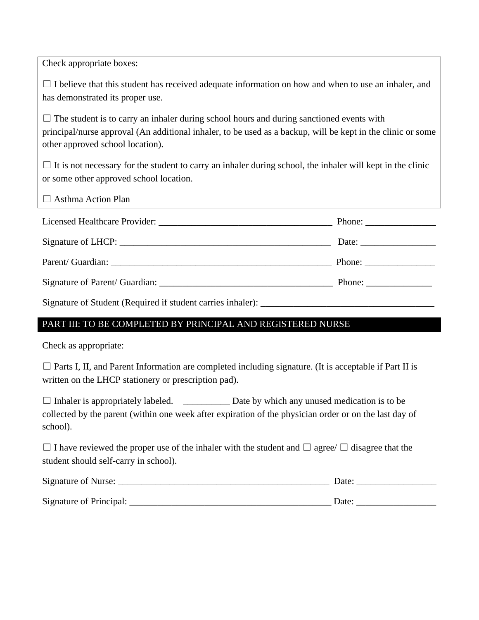Check appropriate boxes:  $\Box$  I believe that this student has received adequate information on how and when to use an inhaler, and has demonstrated its proper use.  $\Box$  The student is to carry an inhaler during school hours and during sanctioned events with principal/nurse approval (An additional inhaler, to be used as a backup, will be kept in the clinic or some other approved school location).  $\Box$  It is not necessary for the student to carry an inhaler during school, the inhaler will kept in the clinic or some other approved school location.  $\Box$  Asthma Action Plan Licensed Healthcare Provider: \_\_\_\_\_\_\_\_\_\_\_\_\_\_\_\_\_\_\_\_\_\_\_\_\_\_\_\_\_\_\_\_\_\_\_\_\_ Phone: \_\_\_\_\_\_\_\_\_\_\_\_\_\_\_ Signature of LHCP: \_\_\_\_\_\_\_\_\_\_\_\_\_\_\_\_\_\_\_\_\_\_\_\_\_\_\_\_\_\_\_\_\_\_\_\_\_\_\_\_\_\_\_\_\_ Date: \_\_\_\_\_\_\_\_\_\_\_\_\_\_\_\_ Parent/ Guardian: \_\_\_\_\_\_\_\_\_\_\_\_\_\_\_\_\_\_\_\_\_\_\_\_\_\_\_\_\_\_\_\_\_\_\_\_\_\_\_\_\_\_\_\_\_\_\_ Phone: \_\_\_\_\_\_\_\_\_\_\_\_\_\_\_ Signature of Parent/ Guardian: \_\_\_\_\_\_\_\_\_\_\_\_\_\_\_\_\_\_\_\_\_\_\_\_\_\_\_\_\_\_\_\_\_\_\_\_\_ Phone: \_\_\_\_\_\_\_\_\_\_\_\_\_\_ Signature of Student (Required if student carries inhaler): \_\_\_\_\_\_\_\_\_\_\_\_\_\_\_\_\_\_\_\_\_\_\_\_\_\_\_\_\_\_\_\_\_\_\_\_\_ PART III: TO BE COMPLETED BY PRINCIPAL AND REGISTERED NURSE

Check as appropriate:

 $\Box$  Parts I, II, and Parent Information are completed including signature. (It is acceptable if Part II is written on the LHCP stationery or prescription pad).

 $\Box$  Inhaler is appropriately labeled.  $\Box$  Date by which any unused medication is to be collected by the parent (within one week after expiration of the physician order or on the last day of school).

 $\Box$  I have reviewed the proper use of the inhaler with the student and  $\Box$  agree/  $\Box$  disagree that the student should self-carry in school).

| Signature of Nurse:     | Date |
|-------------------------|------|
| Signature of Principal: | Date |